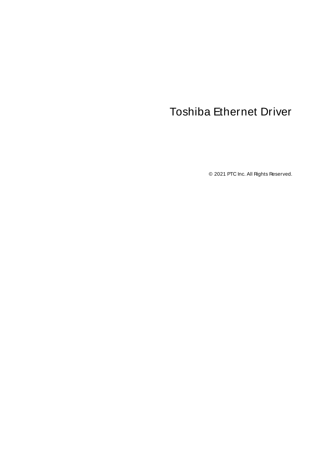# <span id="page-0-0"></span>Toshiba Ethernet Driver

© 2021 PTC Inc. All Rights Reserved.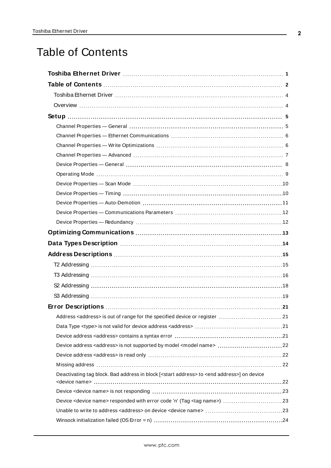# <span id="page-1-0"></span>Table of Contents

| Data Types Description manufacture and the control of the USA of the USA of the USA of the USA of the USA of t |
|----------------------------------------------------------------------------------------------------------------|
|                                                                                                                |
|                                                                                                                |
|                                                                                                                |
|                                                                                                                |
|                                                                                                                |
|                                                                                                                |
| Address <address> is out of range for the specified device or register<br/>.21</address>                       |
|                                                                                                                |
|                                                                                                                |
| Device address <address> is not supported by model <model name=""> 22</model></address>                        |
|                                                                                                                |
|                                                                                                                |
| Deactivating tag block. Bad address in block [ <start address=""> to <end address="">] on device</end></start> |
|                                                                                                                |
| Device <device name=""> responded with error code 'n' (Tag <tag name="">) 23</tag></device>                    |
|                                                                                                                |
|                                                                                                                |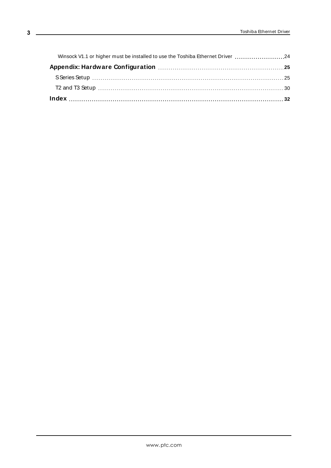| Winsock V1.1 or higher must be installed to use the Toshiba Ethernet Driver 24 |  |
|--------------------------------------------------------------------------------|--|
|                                                                                |  |
|                                                                                |  |
|                                                                                |  |
|                                                                                |  |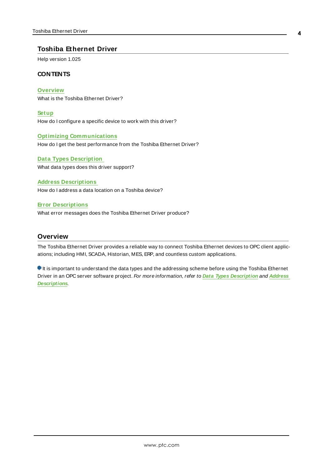#### <span id="page-3-0"></span>**Toshiba Ethernet Driver**

Help version 1.025

#### **CONTENTS**

**[Overview](#page-3-1)** What is the Toshiba Ethernet Driver?

**[Setup](#page-4-0)** How do I configure a specific device to work with this driver?

#### **Optimizing [Communications](#page-12-0)**

How do I get the best performance from the Toshiba Ethernet Driver?

**Data Types [Description](#page-13-0)** What data types does this driver support?

**Address [Descriptions](#page-14-0)** How do I address a data location on a Toshiba device?

#### **Error [Descriptions](#page-20-0)**

What error messages does the Toshiba Ethernet Driver produce?

#### <span id="page-3-1"></span>**Overview**

The Toshiba Ethernet Driver provides a reliable way to connect Toshiba Ethernet devices to OPC client applications; including HMI, SCADA, Historian, MES, ERP, and countless custom applications.

 $\bullet$  It is important to understand the data types and the addressing scheme before using the Toshiba Ethernet Driver in an OPC server software project. For more information, refer to **Data Types [Description](#page-13-0)** and **[Address](#page-14-0) [Descriptions](#page-14-0)**.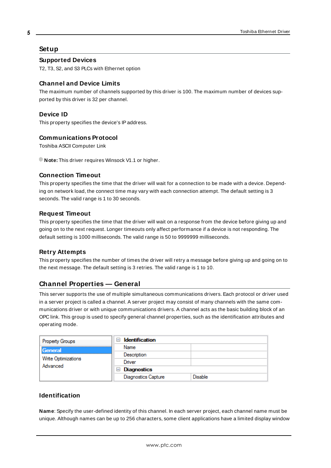## <span id="page-4-0"></span>**Setup**

#### **Supported Devices**

T2, T3, S2, and S3 PLCs with Ethernet option

## **Channel and Device Limits**

The maximum number of channels supported by this driver is 100. The maximum number of devices supported by this driver is 32 per channel.

## <span id="page-4-2"></span>**Device ID**

<span id="page-4-3"></span>This property specifies the device's IPaddress.

#### **Communications Protocol**

Toshiba ASCII Computer Link

**Note:** This driver requires Winsock V1.1 or higher.

#### **Connection Timeout**

This property specifies the time that the driver will wait for a connection to be made with a device. Depending on network load, the connect time may vary with each connection attempt. The default setting is 3 seconds. The valid range is 1 to 30 seconds.

#### **Request Timeout**

This property specifies the time that the driver will wait on a response from the device before giving up and going on to the next request. Longer timeouts only affect performance if a device is not responding. The default setting is 1000 milliseconds. The valid range is 50 to 9999999 milliseconds.

#### **Retry Attempts**

This property specifies the number of times the driver will retry a message before giving up and going on to the next message. The default setting is 3 retries. The valid range is 1 to 10.

# <span id="page-4-1"></span>**Channel Properties — General**

This server supports the use of multiple simultaneous communications drivers. Each protocol or driver used in a server project is called a channel. A server project may consist of many channels with the same communications driver or with unique communications drivers. A channel acts as the basic building block of an OPC link. This group is used to specify general channel properties, such as the identification attributes and operating mode.

| <b>Property Groups</b>          | <b>Identification</b><br>$-1$ |                |
|---------------------------------|-------------------------------|----------------|
| General                         | Name                          |                |
|                                 | Description                   |                |
| Write Optimizations<br>Advanced | Driver                        |                |
|                                 | $\Box$ Diagnostics            |                |
|                                 | <b>Diagnostics Capture</b>    | <b>Disable</b> |

#### **Identification**

**Name**: Specify the user-defined identity of this channel. In each server project, each channel name must be unique. Although names can be up to 256 characters, some client applications have a limited display window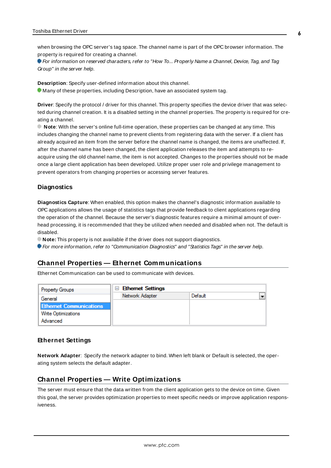when browsing the OPC server's tag space. The channel name is part of the OPC browser information. The property is required for creating a channel.

For information on reserved characters, refer to "How To... Properly Name a Channel, Device, Tag, and Tag Group" in the server help.

**Description**: Specify user-defined information about this channel. Many of these properties, including Description, have an associated system tag.

**Driver**: Specify the protocol / driver for this channel. This property specifies the device driver that was selected during channel creation. It is a disabled setting in the channel properties. The property is required for creating a channel.

**Note**: With the server's online full-time operation, these properties can be changed at any time. This includes changing the channel name to prevent clients from registering data with the server. If a client has already acquired an item from the server before the channel name is changed, the items are unaffected. If, after the channel name has been changed, the client application releases the item and attempts to reacquire using the old channel name, the item is not accepted. Changes to the properties should not be made once a large client application has been developed. Utilize proper user role and privilege management to prevent operators from changing properties or accessing server features.

#### **Diagnostics**

**Diagnostics Capture**: When enabled, this option makes the channel's diagnostic information available to OPC applications allows the usage of statistics tags that provide feedback to client applications regarding the operation of the channel. Because the server's diagnostic features require a minimal amount of overhead processing, it is recommended that they be utilized when needed and disabled when not. The default is disabled.

**Note:** This property is not available if the driver does not support diagnostics.

<span id="page-5-0"></span>For more information, refer to "Communication Diagnostics" and "Statistics Tags" in the server help.

#### **Channel Properties — Ethernet Communications**

Ethernet Communication can be used to communicate with devices.

| <b>Property Groups</b>         | $\Box$ Ethernet Settings |         |  |
|--------------------------------|--------------------------|---------|--|
| General                        | Network Adapter          | Default |  |
| <b>Ethernet Communications</b> |                          |         |  |
| <b>Write Optimizations</b>     |                          |         |  |
| Advanced                       |                          |         |  |

#### **Ethernet Settings**

**Network Adapter**: Specify the network adapter to bind. When left blank or Default is selected, the operating system selects the default adapter.

#### <span id="page-5-1"></span>**Channel Properties — Write Optimizations**

The server must ensure that the data written from the client application gets to the device on time. Given this goal, the server provides optimization properties to meet specific needs or improve application responsiveness.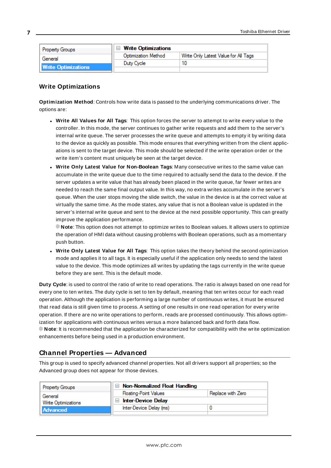| <b>Property Groups</b>     | <b>Write Optimizations</b> |                                      |
|----------------------------|----------------------------|--------------------------------------|
| General                    | <b>Optimization Method</b> | Write Only Latest Value for All Tags |
|                            | Duty Cycle                 |                                      |
| <b>Write Optimizations</b> |                            |                                      |

#### **Write Optimizations**

**Optimization Method**: Controls how write data is passed to the underlying communications driver. The options are:

- <sup>l</sup> **Write All Values for All Tags**: This option forces the server to attempt to write every value to the controller. In this mode, the server continues to gather write requests and add them to the server's internal write queue. The server processes the write queue and attempts to empty it by writing data to the device as quickly as possible. This mode ensures that everything written from the client applications is sent to the target device. This mode should be selected if the write operation order or the write item's content must uniquely be seen at the target device.
- <sup>l</sup> **Write Only Latest Value for Non-Boolean Tags**: Many consecutive writes to the same value can accumulate in the write queue due to the time required to actually send the data to the device. If the server updates a write value that has already been placed in the write queue, far fewer writes are needed to reach the same final output value. In this way, no extra writes accumulate in the server's queue. When the user stops moving the slide switch, the value in the device is at the correct value at virtually the same time. As the mode states, any value that is not a Boolean value is updated in the server's internal write queue and sent to the device at the next possible opportunity. This can greatly improve the application performance.

**Note**: This option does not attempt to optimize writes to Boolean values. It allows users to optimize the operation of HMI data without causing problems with Boolean operations, such as a momentary push button.

**• Write Only Latest Value for All Tags**: This option takes the theory behind the second optimization mode and applies it to all tags. It is especially useful if the application only needs to send the latest value to the device. This mode optimizes all writes by updating the tags currently in the write queue before they are sent. This is the default mode.

**Duty Cycle**: is used to control the ratio of write to read operations. The ratio is always based on one read for every one to ten writes. The duty cycle is set to ten by default, meaning that ten writes occur for each read operation. Although the application is performing a large number of continuous writes, it must be ensured that read data is still given time to process. A setting of one results in one read operation for every write operation. If there are no write operations to perform, reads are processed continuously. This allows optimization for applications with continuous writes versus a more balanced back and forth data flow. **Note**: It is recommended that the application be characterized for compatibility with the write optimization enhancements before being used in a production environment.

# <span id="page-6-0"></span>**Channel Properties — Advanced**

This group is used to specify advanced channel properties. Not all drivers support all properties; so the Advanced group does not appear for those devices.

| <b>Property Groups</b> | $\Box$ Non-Normalized Float Handling |                   |  |
|------------------------|--------------------------------------|-------------------|--|
| General                | <b>Floating-Point Values</b>         | Replace with Zero |  |
| Write Optimizations    | <b>Inter-Device Delay</b>            |                   |  |
| Advanced               | Inter-Device Delay (ms)              |                   |  |
|                        |                                      |                   |  |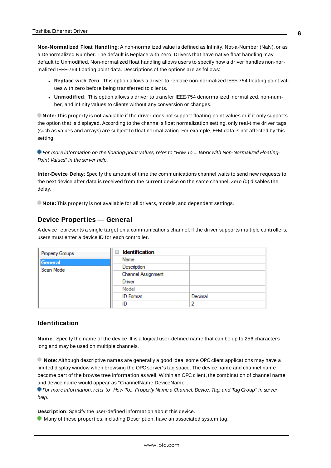**Non-Normalized Float Handling**: A non-normalized value is defined as Infinity, Not-a-Number (NaN), or as a Denormalized Number. The default is Replace with Zero. Drivers that have native float handling may default to Unmodified. Non-normalized float handling allows users to specify how a driver handles non-normalized IEEE-754 floating point data. Descriptions of the options are as follows:

- <sup>l</sup> **Replace with Zero**: This option allows a driver to replace non-normalized IEEE-754 floating point values with zero before being transferred to clients.
- <sup>l</sup> **Unmodified**: This option allows a driver to transfer IEEE-754 denormalized, normalized, non-number, and infinity values to clients without any conversion or changes.

**Note:** This property is not available if the driver does not support floating-point values or if it only supports the option that is displayed. According to the channel's float normalization setting, only real-time driver tags (such as values and arrays) are subject to float normalization. For example, EFM data is not affected by this setting.

**For more information on the floating-point values, refer to "How To ... Work with Non-Normalized Floating-**Point Values" in the server help.

**Inter-Device Delay**: Specify the amount of time the communications channel waits to send new requests to the next device after data is received from the current device on the same channel. Zero (0) disables the delay.

<span id="page-7-0"></span>**Note:** This property is not available for all drivers, models, and dependent settings.

#### **Device Properties — General**

A device represents a single target on a communications channel. If the driver supports multiple controllers, users must enter a device ID for each controller.

| Property Groups | <b>Identification</b><br>8 |         |
|-----------------|----------------------------|---------|
| General         | Name                       |         |
| Scan Mode       | Description                |         |
|                 | Channel Assignment         |         |
|                 | Driver                     |         |
|                 | Model                      |         |
|                 | <b>ID</b> Format           | Decimal |
|                 | ID                         |         |

#### <span id="page-7-1"></span>**Identification**

**Name**: Specify the name of the device. It is a logical user-defined name that can be up to 256 characters long and may be used on multiple channels.

**Note**: Although descriptive names are generally a good idea, some OPC client applications may have a limited display window when browsing the OPC server's tag space. The device name and channel name become part of the browse tree information as well. Within an OPC client, the combination of channel name and device name would appear as "ChannelName.DeviceName".

For more information, refer to "How To... Properly Name a Channel, Device, Tag, and Tag Group" in server help.

**Description**: Specify the user-defined information about this device.

**Many of these properties, including Description, have an associated system tag.**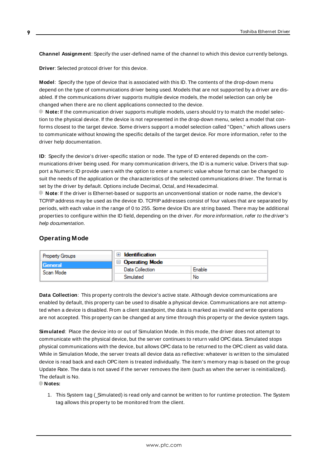<span id="page-8-3"></span><span id="page-8-1"></span>**Channel Assignment**: Specify the user-defined name of the channel to which this device currently belongs.

<span id="page-8-5"></span>**Driver**: Selected protocol driver for this device.

**Model**: Specify the type of device that is associated with this ID. The contents of the drop-down menu depend on the type of communications driver being used. Models that are not supported by a driver are disabled. If the communications driver supports multiple device models, the model selection can only be changed when there are no client applications connected to the device.

**Note:** If the communication driver supports multiple models, users should try to match the model selection to the physical device. If the device is not represented in the drop-down menu, select a model that conforms closest to the target device. Some drivers support a model selection called "Open," which allows users to communicate without knowing the specific details of the target device. For more information, refer to the driver help documentation.

<span id="page-8-4"></span>**ID**: Specify the device's driver-specific station or node. The type of ID entered depends on the communications driver being used. For many communication drivers, the ID is a numeric value. Drivers that support a Numeric ID provide users with the option to enter a numeric value whose format can be changed to suit the needs of the application or the characteristics of the selected communications driver. The format is set by the driver by default. Options include Decimal, Octal, and Hexadecimal.

**Note**: If the driver is Ethernet-based or supports an unconventional station or node name, the device's TCP/IPaddress may be used as the device ID. TCP/IPaddresses consist of four values that are separated by periods, with each value in the range of 0 to 255. Some device IDs are string based. There may be additional properties to configure within the ID field, depending on the driver. For more information, refer to the driver's help documentation.

## <span id="page-8-0"></span>**Operating Mode**

| <b>Property Groups</b> | Identification        |        |
|------------------------|-----------------------|--------|
| General                | $\Box$ Operating Mode |        |
| Scan Mode              | Data Collection       | Enable |
|                        | Simulated             | No     |

<span id="page-8-2"></span>**Data Collection**: This property controls the device's active state. Although device communications are enabled by default, this property can be used to disable a physical device. Communications are not attempted when a device is disabled. From a client standpoint, the data is marked as invalid and write operations are not accepted. This property can be changed at any time through this property or the device system tags.

<span id="page-8-6"></span>**Simulated**: Place the device into or out of Simulation Mode. In this mode, the driver does not attempt to communicate with the physical device, but the server continues to return valid OPC data. Simulated stops physical communications with the device, but allows OPC data to be returned to the OPC client as valid data. While in Simulation Mode, the server treats all device data as reflective: whatever is written to the simulated device is read back and each OPC item is treated individually. The item's memory map is based on the group Update Rate. The data is not saved if the server removes the item (such as when the server is reinitialized). The default is No.

**Notes:**

1. This System tag (\_Simulated) is read only and cannot be written to for runtime protection. The System tag allows this property to be monitored from the client.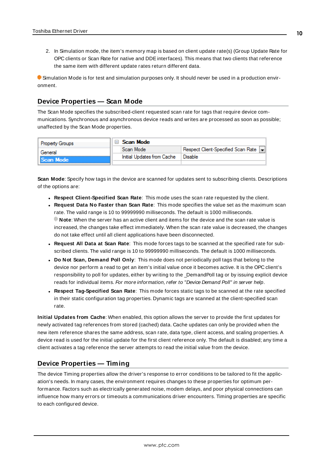2. In Simulation mode, the item's memory map is based on client update rate(s) (Group Update Rate for OPC clients or Scan Rate for native and DDEinterfaces). This means that two clients that reference the same item with different update rates return different data.

 Simulation Mode is for test and simulation purposes only. It should never be used in a production environment.

#### <span id="page-9-0"></span>**Device Properties — Scan Mode**

The Scan Mode specifies the subscribed-client requested scan rate for tags that require device communications. Synchronous and asynchronous device reads and writes are processed as soon as possible; unaffected by the Scan Mode properties.

| <b>Property Groups</b> | $\Box$ Scan Mode           |                                       |
|------------------------|----------------------------|---------------------------------------|
| General                | Scan Mode                  | Respect Client-Specified Scan Rate  - |
| Scan Mode              | Initial Updates from Cache | Disable                               |
|                        |                            |                                       |

<span id="page-9-6"></span>**Scan Mode**: Specify how tags in the device are scanned for updates sent to subscribing clients. Descriptions of the options are:

- <sup>l</sup> **Respect Client-Specified Scan Rate**: This mode uses the scan rate requested by the client.
- <sup>l</sup> **Request Data No Faster than Scan Rate**: This mode specifies the value set as the maximum scan rate. The valid range is 10 to 99999990 milliseconds. The default is 1000 milliseconds. **Note**: When the server has an active client and items for the device and the scan rate value is increased, the changes take effect immediately. When the scan rate value is decreased, the changes do not take effect until all client applications have been disconnected.
- <sup>l</sup> **Request All Data at Scan Rate**: This mode forces tags to be scanned at the specified rate for subscribed clients. The valid range is 10 to 99999990 milliseconds. The default is 1000 milliseconds.
- <span id="page-9-3"></span><sup>l</sup> **Do Not Scan, Demand Poll Only**: This mode does not periodically poll tags that belong to the device nor perform a read to get an item's initial value once it becomes active. It is the OPC client's responsibility to poll for updates, either by writing to the \_DemandPoll tag or by issuing explicit device reads for individual items. For more information, refer to "Device Demand Poll" in server help.
- <span id="page-9-5"></span><sup>l</sup> **Respect Tag-Specified Scan Rate**: This mode forces static tags to be scanned at the rate specified in their static configuration tag properties. Dynamic tags are scanned at the client-specified scan rate.

<span id="page-9-4"></span>**Initial Updates from Cache**: When enabled, this option allows the server to provide the first updates for newly activated tag references from stored (cached) data. Cache updates can only be provided when the new item reference shares the same address, scan rate, data type, client access, and scaling properties. A device read is used for the initial update for the first client reference only. The default is disabled; any time a client activates a tag reference the server attempts to read the initial value from the device.

## <span id="page-9-2"></span><span id="page-9-1"></span>**Device Properties — Timing**

The device Timing properties allow the driver's response to error conditions to be tailored to fit the application's needs. In many cases, the environment requires changes to these properties for optimum performance. Factors such as electrically generated noise, modem delays, and poor physical connections can influence how many errors or timeouts a communications driver encounters. Timing properties are specific to each configured device.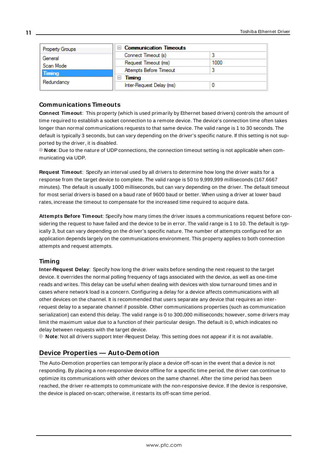| Property Groups | $\Box$ Communication Timeouts |      |
|-----------------|-------------------------------|------|
| General         | Connect Timeout (s)           |      |
| Scan Mode       | Request Timeout (ms)          | 1000 |
| Timing          | Attempts Before Timeout       |      |
|                 | Timing                        |      |
| Redundancy      | Inter-Request Delay (ms)      |      |

#### <span id="page-10-2"></span>**Communications Timeouts**

**Connect Timeout**: This property (which is used primarily by Ethernet based drivers) controls the amount of time required to establish a socket connection to a remote device. The device's connection time often takes longer than normal communications requests to that same device. The valid range is 1 to 30 seconds. The default is typically 3 seconds, but can vary depending on the driver's specific nature. If this setting is not supported by the driver, it is disabled.

**Note**: Due to the nature of UDPconnections, the connection timeout setting is not applicable when communicating via UDP.

<span id="page-10-4"></span>**Request Timeout**: Specify an interval used by all drivers to determine how long the driver waits for a response from the target device to complete. The valid range is 50 to 9,999,999 milliseconds (167.6667 minutes). The default is usually 1000 milliseconds, but can vary depending on the driver. The default timeout for most serial drivers is based on a baud rate of 9600 baud or better. When using a driver at lower baud rates, increase the timeout to compensate for the increased time required to acquire data.

<span id="page-10-1"></span>**Attempts Before Timeout**: Specify how many times the driver issues a communications request before considering the request to have failed and the device to be in error. The valid range is 1 to 10. The default is typically 3, but can vary depending on the driver's specific nature. The number of attempts configured for an application depends largely on the communications environment. This property applies to both connection attempts and request attempts.

## <span id="page-10-3"></span>**Timing**

**Inter-Request Delay**: Specify how long the driver waits before sending the next request to the target device. It overrides the normal polling frequency of tags associated with the device, as well as one-time reads and writes. This delay can be useful when dealing with devices with slow turnaround times and in cases where network load is a concern. Configuring a delay for a device affects communications with all other devices on the channel. It is recommended that users separate any device that requires an interrequest delay to a separate channel if possible. Other communications properties (such as communication serialization) can extend this delay. The valid range is 0 to 300,000 milliseconds; however, some drivers may limit the maximum value due to a function of their particular design. The default is 0, which indicates no delay between requests with the target device.

<span id="page-10-0"></span>**Note**: Not all drivers support Inter-Request Delay. This setting does not appear if it is not available.

# **Device Properties — Auto-Demotion**

The Auto-Demotion properties can temporarily place a device off-scan in the event that a device is not responding. By placing a non-responsive device offline for a specific time period, the driver can continue to optimize its communications with other devices on the same channel. After the time period has been reached, the driver re-attempts to communicate with the non-responsive device. If the device is responsive, the device is placed on-scan; otherwise, it restarts its off-scan time period.

**11**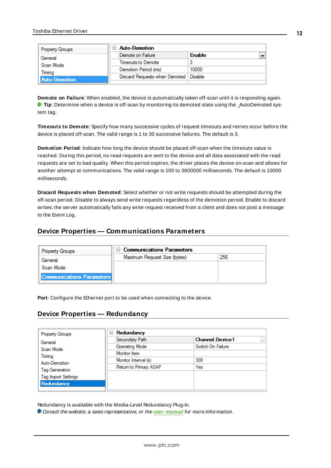| <b>Property Groups</b> | <b>Auto-Demotion</b>          |               |  |
|------------------------|-------------------------------|---------------|--|
| General                | Demote on Failure             | <b>Enable</b> |  |
| Scan Mode              | Timeouts to Demote            |               |  |
| Timina                 | Demotion Period (ms)          | 10000         |  |
| <b>Auto-Demotion</b>   | Discard Requests when Demoted | Disable       |  |
|                        |                               |               |  |

<span id="page-11-2"></span>**Demote on Failure**: When enabled, the device is automatically taken off-scan until it is responding again. **Tip**: Determine when a device is off-scan by monitoring its demoted state using the \_AutoDemoted system tag.

<span id="page-11-6"></span>**Timeouts to Demote**: Specify how many successive cycles of request timeouts and retries occur before the device is placed off-scan. The valid range is 1 to 30 successive failures. The default is 3.

<span id="page-11-3"></span>**Demotion Period**: Indicate how long the device should be placed off-scan when the timeouts value is reached. During this period, no read requests are sent to the device and all data associated with the read requests are set to bad quality. When this period expires, the driver places the device on-scan and allows for another attempt at communications. The valid range is 100 to 3600000 milliseconds. The default is 10000 milliseconds.

<span id="page-11-4"></span>**Discard Requests when Demoted**: Select whether or not write requests should be attempted during the off-scan period. Disable to always send write requests regardless of the demotion period. Enable to discard writes; the server automatically fails any write request received from a client and does not post a message to the Event Log.

# <span id="page-11-0"></span>**Device Properties — Communications Parameters**

| <b>Property Groups</b>           | <b>Communications Parameters</b><br>$\blacksquare$ |     |
|----------------------------------|----------------------------------------------------|-----|
| General                          | Maximum Request Size (bytes)                       | 256 |
| Scan Mode                        |                                                    |     |
|                                  |                                                    |     |
| <b>Communications Parameters</b> |                                                    |     |

<span id="page-11-5"></span><span id="page-11-1"></span>**Port**: Configure the Ethernet port to be used when connecting to the device.

# **Device Properties — Redundancy**

| <b>Property Groups</b>     | Redundancy<br>$=$      |                                    |
|----------------------------|------------------------|------------------------------------|
| General                    | Secondary Path         | <b>Channel Device1</b><br>$\cdots$ |
| Scan Mode                  | <b>Operating Mode</b>  | Switch On Failure                  |
| Timing                     | Monitor Item           |                                    |
| Auto-Demotion              | Monitor Interval (s)   | 300                                |
| Tag Generation             | Return to Primary ASAP | Yes                                |
| <b>Tag Import Settings</b> |                        |                                    |
| Redundancy                 |                        |                                    |
|                            |                        |                                    |

Redundancy is available with the Media-Level Redundancy Plug-In.

Consult the website, a sales representative, or the **user [manual](https://www.kepware.com/getattachment/35461efd-b53a-4219-a109-a89fad20b230/media-level-redundancy-manual.pdf)** for more information.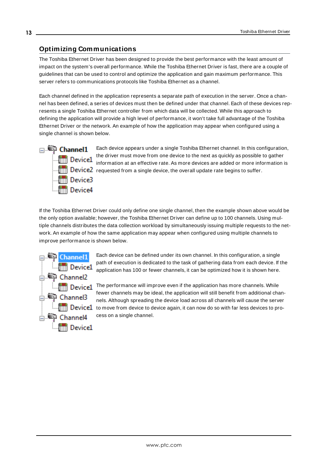# <span id="page-12-0"></span>**Optimizing Communications**

The Toshiba Ethernet Driver has been designed to provide the best performance with the least amount of impact on the system's overall performance. While the Toshiba Ethernet Driver is fast, there are a couple of guidelines that can be used to control and optimize the application and gain maximum performance. This server refers to communications protocols like Toshiba Ethernet as a channel.

Each channel defined in the application represents a separate path of execution in the server. Once a channel has been defined, a series of devices must then be defined under that channel. Each of these devices represents a single Toshiba Ethernet controller from which data will be collected. While this approach to defining the application will provide a high level of performance, it won't take full advantage of the Toshiba Ethernet Driver or the network. An example of how the application may appear when configured using a single channel is shown below.



Each device appears under a single Toshiba Ethernet channel. In this configuration, the driver must move from one device to the next as quickly as possible to gather information at an effective rate. As more devices are added or more information is  $\frac{1}{2}$  Device2 requested from a single device, the overall update rate begins to suffer.

If the Toshiba Ethernet Driver could only define one single channel, then the example shown above would be the only option available; however, the Toshiba Ethernet Driver can define up to 100 channels. Using multiple channels distributes the data collection workload by simultaneously issuing multiple requests to the network. An example of how the same application may appear when configured using multiple channels to improve performance is shown below.



Each device can be defined under its own channel. In this configuration, a single path of execution is dedicated to the task of gathering data from each device. If the application has 100 or fewer channels, it can be optimized how it is shown here.

 $T$  Device1 The performance will improve even if the application has more channels. While fewer channels may be ideal, the application will still benefit from additional channels. Although spreading the device load across all channels will cause the server **the movement of the move from device to device again, it can now do so with far less devices to pro**cess on a single channel.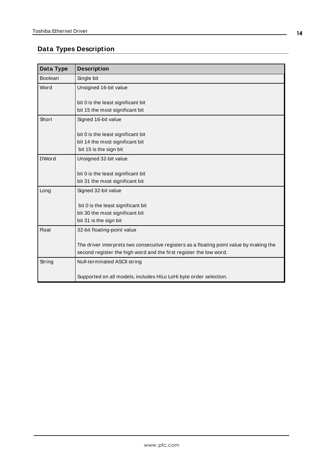# <span id="page-13-0"></span>**Data Types Description**

<span id="page-13-5"></span><span id="page-13-4"></span><span id="page-13-3"></span><span id="page-13-2"></span><span id="page-13-1"></span>

| Data Type      | <b>Description</b>                                                                      |
|----------------|-----------------------------------------------------------------------------------------|
| <b>Boolean</b> | Single bit                                                                              |
| Word           | Unsigned 16-bit value                                                                   |
|                | bit 0 is the least significant bit                                                      |
|                | bit 15 the most significant bit                                                         |
| Short          | Signed 16-bit value                                                                     |
|                |                                                                                         |
|                | bit 0 is the least significant bit                                                      |
|                | bit 14 the most significant bit                                                         |
|                | bit 15 is the sign bit                                                                  |
| <b>DWord</b>   | Unsigned 32-bit value                                                                   |
|                |                                                                                         |
|                | bit 0 is the least significant bit                                                      |
|                | bit 31 the most significant bit                                                         |
| Long           | Signed 32-bit value                                                                     |
|                | bit 0 is the least significant bit                                                      |
|                | bit 30 the most significant bit                                                         |
|                | bit 31 is the sign bit                                                                  |
| <b>Float</b>   | 32-bit floating-point value                                                             |
|                |                                                                                         |
|                | The driver interprets two consecutive registers as a floating point value by making the |
|                | second register the high word and the first register the low word.                      |
| String         | Null-terminated ASCII string                                                            |
|                |                                                                                         |
|                | Supported on all models, includes HiLo LoHi byte order selection.                       |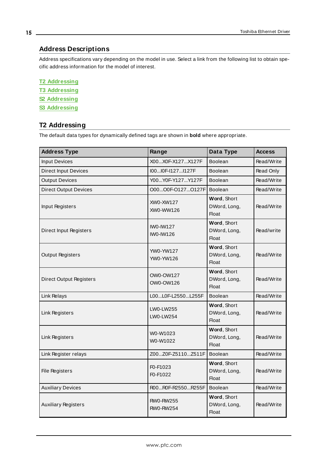# <span id="page-14-0"></span>**Address Descriptions**

Address specifications vary depending on the model in use. Select a link from the following list to obtain specific address information for the model of interest.

**T2 [Addressing](#page-14-1) T3 [Addressing](#page-15-0) S2 [Addressing](#page-17-0) S3 [Addressing](#page-18-0)**

# <span id="page-14-1"></span>**T2 Addressing**

The default data types for dynamically defined tags are shown in **bold** where appropriate.

| <b>Address Type</b>            | Range                                                                  | Data Type                                   | <b>Access</b> |
|--------------------------------|------------------------------------------------------------------------|---------------------------------------------|---------------|
| <b>Input Devices</b>           | X00X0F-X127X127F                                                       | Boolean                                     | Read/Write    |
| <b>Direct Input Devices</b>    | I00I0F-I127I127F                                                       | <b>Boolean</b>                              | Read Only     |
| <b>Output Devices</b>          | Y00Y0F-Y127Y127F                                                       | <b>Boolean</b>                              | Read/Write    |
| <b>Direct Output Devices</b>   | O00O0F-O127O127FI                                                      | <b>Boolean</b>                              | Read/Write    |
| Input Registers                | XW0-XW127<br>XW0-WW126                                                 | Word, Short<br>DWord, Long,<br>Float        | Read/Write    |
| <b>Direct Input Registers</b>  | <b>IWO-IW127</b><br>IW0-IW126                                          | Word, Short<br>DWord, Long,<br><b>Float</b> | Read/write    |
| <b>Output Registers</b>        | YW0-YW127<br>YW0-YW126                                                 | Word, Short<br>DWord, Long,<br><b>Float</b> | Read/Write    |
| <b>Direct Output Registers</b> | OW0-OW127<br>OW0-OW126                                                 | Word, Short<br>DWord, Long,<br><b>Float</b> | Read/Write    |
| Link Relays                    | L00L0F-L2550L255F                                                      | <b>Boolean</b>                              | Read/Write    |
| Link Registers                 | <b>LW0-LW255</b><br>LW0-LW254                                          | Word, Short<br>DWord, Long,<br><b>Float</b> | Read/Write    |
| Link Registers                 | W0-W1023<br>W0-W1022                                                   | Word, Short<br>DWord, Long,<br><b>Float</b> | Read/Write    |
| Link Register relays           | Z00Z0F-Z5110Z511F                                                      | <b>Boolean</b>                              | Read/Write    |
| <b>File Registers</b>          | F <sub>0</sub> -F <sub>1023</sub><br>F <sub>0</sub> -F <sub>1022</sub> | Word, Short<br>DWord, Long,<br><b>Float</b> | Read/Write    |
| <b>Auxiliary Devices</b>       | R00R0F-R2550R255F                                                      | <b>Boolean</b>                              | Read/Write    |
| <b>Auxiliary Registers</b>     | <b>RW0-RW255</b><br><b>RW0-RW254</b>                                   | Word, Short<br>DWord, Long,<br><b>Float</b> | Read/Write    |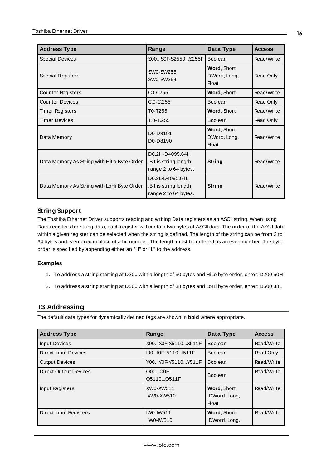| <b>Address Type</b>                        | Range                                                             | Data Type                                   | <b>Access</b> |
|--------------------------------------------|-------------------------------------------------------------------|---------------------------------------------|---------------|
| <b>Special Devices</b>                     | S00S0F-S2550S255F                                                 | <b>Boolean</b>                              | Read/Write    |
| Special Registers                          | <b>SW0-SW255</b><br>SW0-SW254                                     | Word, Short<br>DWord, Long,<br><b>Float</b> | Read Only     |
| <b>Counter Registers</b>                   | C <sub>0</sub> -C <sub>255</sub>                                  | Word, Short                                 | Read/Write    |
| <b>Counter Devices</b>                     | $C.0 - C.255$                                                     | <b>Boolean</b>                              | Read Only     |
| <b>Timer Registers</b>                     | T0-T255                                                           | Word, Short                                 | Read/Write    |
| <b>Timer Devices</b>                       | $T.0 - T.255$                                                     | <b>Boolean</b>                              | Read Only     |
| Data Memory                                | D0-D8191<br>D0-D8190                                              | Word, Short<br>DWord, Long,<br><b>Float</b> | Read/Write    |
| Data Memory As String with HiLo Byte Order | D0.2H-D4095.64H<br>.Bit is string length,<br>range 2 to 64 bytes. | String                                      | Read/Write    |
| Data Memory As String with LoHi Byte Order | D0.2L-D4095.64L<br>.Bit is string length,<br>range 2 to 64 bytes. | String                                      | Read/Write    |

# **String Support**

The Toshiba Ethernet Driver supports reading and writing Data registers as an ASCII string. When using Data registers for string data, each register will contain two bytes of ASCII data. The order of the ASCII data within a given register can be selected when the string is defined. The length of the string can be from 2 to 64 bytes and is entered in place of a bit number. The length must be entered as an even number. The byte order is specified by appending either an "H" or "L" to the address.

#### **Examples**

- 1. To address a string starting at D200 with a length of 50 bytes and HiLo byte order, enter: D200.50H
- 2. To address a string starting at D500 with a length of 38 bytes and LoHi byte order, enter: D500.38L

# <span id="page-15-0"></span>**T3 Addressing**

The default data types for dynamically defined tags are shown in **bold** where appropriate.

| <b>Address Type</b>          | Range                                | Data Type                                   | <b>Access</b> |
|------------------------------|--------------------------------------|---------------------------------------------|---------------|
| <b>Input Devices</b>         | X00X0F-X5110X511F                    | <b>Boolean</b>                              | Read/Write    |
| <b>Direct Input Devices</b>  | I00I0F-I5110I511F                    | <b>Boolean</b>                              | Read Only     |
| <b>Output Devices</b>        | Y00Y0F-Y5110Y511F                    | <b>Boolean</b>                              | Read/Write    |
| <b>Direct Output Devices</b> | O00O0F-<br>O5110O511F                | <b>Boolean</b>                              | Read/Write    |
| Input Registers              | XW0-XW511<br>XW0-XW510               | Word, Short<br>DWord, Long,<br><b>Float</b> | Read/Write    |
| Direct Input Registers       | <b>IWO-IW511</b><br><b>IWO-IW510</b> | Word, Short<br>DWord, Long,                 | Read/Write    |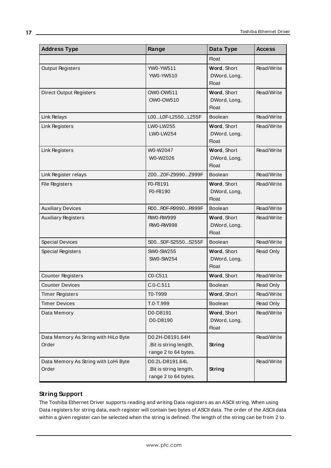| <b>Address Type</b>                           | Range                                                             | Data Type                                   | <b>Access</b> |
|-----------------------------------------------|-------------------------------------------------------------------|---------------------------------------------|---------------|
|                                               |                                                                   | <b>Float</b>                                |               |
| <b>Output Registers</b>                       | YW0-YW511<br>YW0-YW510                                            | Word, Short<br>DWord, Long,<br>Float        | Read/Write    |
| <b>Direct Output Registers</b>                | OW0-OW511<br>OW0-OW510                                            | Word, Short<br>DWord, Long,<br><b>Float</b> | Read/Write    |
| Link Relays                                   | L00L0F-L2550L255F                                                 | Boolean                                     | Read/Write    |
| Link Registers                                | <b>LW0-LW255</b><br>LW0-LW254                                     | Word, Short<br>DWord, Long,<br><b>Float</b> | Read/Write    |
| Link Registers                                | W0-W2047<br>W0-W2026                                              | Word, Short<br>DWord, Long,<br><b>Float</b> | Read/Write    |
| Link Register relays                          | Z00Z0F-Z9990Z999F                                                 | <b>Boolean</b>                              | Read/Write    |
| <b>File Registers</b>                         | F0-F8191<br>F0-F8190                                              | Word, Short<br>DWord, Long,<br><b>Float</b> | Read/Write    |
| <b>Auxiliary Devices</b>                      | R00R0F-R9990R999F                                                 | <b>Boolean</b>                              | Read/Write    |
| <b>Auxiliary Registers</b>                    | <b>RW0-RW999</b><br><b>RW0-RW998</b>                              | Word, Short<br>DWord, Long,<br><b>Float</b> | Read/Write    |
| <b>Special Devices</b>                        | S00S0F-S2550S255F                                                 | <b>Boolean</b>                              | Read/Write    |
| Special Registers                             | <b>SW0-SW255</b><br><b>SW0-SW254</b>                              | Word, Short<br>DWord, Long,<br>Float        | Read Only     |
| <b>Counter Registers</b>                      | C0-C511                                                           | Word, Short                                 | Read/Write    |
| <b>Counter Devices</b>                        | $C.0 - C.511$                                                     | <b>Boolean</b>                              | Read Only     |
| <b>Timer Registers</b>                        | T0-T999                                                           | Word, Short                                 | Read/Write    |
| <b>Timer Devices</b>                          | T.0-T.999                                                         | Boolean                                     | Read Only     |
| Data Memory                                   | D0-D8191<br>D0-D8190                                              | Word, Short<br>DWord, Long,<br><b>Float</b> | Read/Write    |
| Data Memory As String with HiLo Byte<br>Order | D0.2H-D8191.64H<br>.Bit is string length,<br>range 2 to 64 bytes. | <b>String</b>                               | Read/Write    |
| Data Memory As String with LoHi Byte<br>Order | D0.2L-D8191.64L<br>.Bit is string length,<br>range 2 to 64 bytes. | <b>String</b>                               | Read/Write    |

# **String Support**

The Toshiba Ethernet Driver supports reading and writing Data registers as an ASCII string. When using Data registers for string data, each register will contain two bytes of ASCII data. The order of the ASCII data within a given register can be selected when the string is defined. The length of the string can be from 2 to

**17**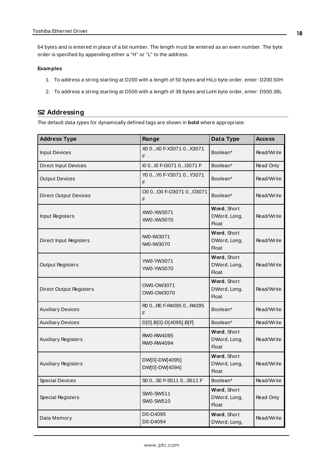64 bytes and is entered in place of a bit number. The length must be entered as an even number. The byte order is specified by appending either a "H" or "L" to the address.

#### **Examples**

- 1. To address a string starting at D200 with a length of 50 bytes and HiLo byte order, enter: D200.50H
- 2. To address a string starting at D500 with a length of 38 bytes and LoHi byte order, enter: D500.38L

#### <span id="page-17-0"></span>**S2 Addressing**

The default data types for dynamically defined tags are shown in **bold** where appropriate.

| <b>Address Type</b>                                    | Range                                                                           | Data Type                                   | <b>Access</b> |
|--------------------------------------------------------|---------------------------------------------------------------------------------|---------------------------------------------|---------------|
| <b>Input Devices</b>                                   | X0 0X0 F-X3071 0X3071<br>Boolean*<br>F                                          |                                             | Read/Write    |
| <b>Direct Input Devices</b>                            | I0 0 I0 F-I3071 0 I3071 F                                                       | Boolean*                                    | Read Only     |
| <b>Output Devices</b>                                  | Y0 0 Y0 F-Y3071 0 Y3071<br>F                                                    | Boolean*                                    | Read/Write    |
| <b>Direct Output Devices</b>                           | O0 0O0 F-O3071 0O3071<br>F                                                      | Boolean*                                    | Read/Write    |
| Input Registers                                        | XW0-XW3071<br>XW0-XW3070                                                        | Word, Short<br>DWord, Long,<br>Float        | Read/Write    |
| Direct Input Registers                                 | Word, Short<br>IW0-IW3071<br>DWord, Long,<br>IW0-IW3070<br><b>Float</b>         |                                             | Read/Write    |
| <b>Output Registers</b>                                | YW0-YW3071<br>YW0-YW3070                                                        | Word, Short<br>DWord, Long,<br><b>Float</b> | Read/Write    |
| <b>Direct Output Registers</b>                         | OW0-OW3071<br>OW0-OW3070                                                        | Word, Short<br>DWord, Long,<br><b>Float</b> | Read/Write    |
| <b>Auxiliary Devices</b>                               | R0 0R0 F-R4095 0R4095<br>F                                                      | Boolean*                                    | Read/Write    |
| <b>Auxiliary Devices</b>                               | D[0].B[0]-D[4095].B[F]                                                          | Boolean*                                    | Read/Write    |
| RW0-RW4095<br><b>Auxiliary Registers</b><br>RW0-RW4094 |                                                                                 | Word, Short<br>DWord, Long,<br>Float        | Read/Write    |
| <b>Auxiliary Registers</b>                             | Word, Short<br>DW[0]-DW[4095]<br>DWord, Long,<br>DW[0]-DW[4094]<br><b>Float</b> |                                             | Read/Write    |
| <b>Special Devices</b>                                 | S0 0S0 F-S511 0S511 F                                                           | Boolean*                                    | Read/Write    |
| <b>Special Registers</b>                               | SW0-SW511<br>SW0-SW510                                                          | Word, Short<br>DWord, Long,<br><b>Float</b> | Read Only     |
| Data Memory                                            | D0-D4095<br>D0-D4094                                                            | Word, Short<br>DWord, Long,                 | Read/Write    |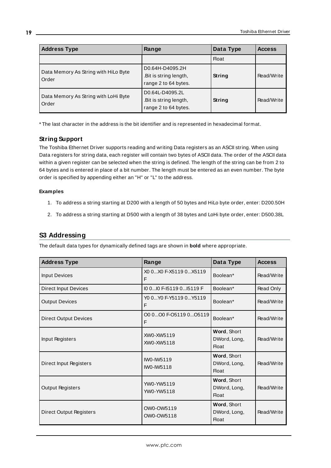| <b>Address Type</b>                           | Range                                                             | Data Type     | <b>Access</b> |
|-----------------------------------------------|-------------------------------------------------------------------|---------------|---------------|
|                                               |                                                                   | <b>Float</b>  |               |
| Data Memory As String with HiLo Byte<br>Order | D0.64H-D4095.2H<br>.Bit is string length,<br>range 2 to 64 bytes. | String        | Read/Write    |
| Data Memory As String with LoHi Byte<br>Order | D0.64L-D4095.2L<br>.Bit is string length,<br>range 2 to 64 bytes. | <b>String</b> | Read/Write    |

\* The last character in the address is the bit identifier and is represented in hexadecimal format.

#### **String Support**

The Toshiba Ethernet Driver supports reading and writing Data registers as an ASCII string. When using Data registers for string data, each register will contain two bytes of ASCII data. The order of the ASCII data within a given register can be selected when the string is defined. The length of the string can be from 2 to 64 bytes and is entered in place of a bit number. The length must be entered as an even number. The byte order is specified by appending either an "H" or "L" to the address.

#### **Examples**

- 1. To address a string starting at D200 with a length of 50 bytes and HiLo byte order, enter: D200.50H
- 2. To address a string starting at D500 with a length of 38 bytes and LoHi byte order, enter: D500.38L

# <span id="page-18-0"></span>**S3 Addressing**

The default data types for dynamically defined tags are shown in **bold** where appropriate.

| <b>Address Type</b>          | Range                        | Data Type                                          | <b>Access</b> |
|------------------------------|------------------------------|----------------------------------------------------|---------------|
| <b>Input Devices</b>         | X0 0X0 F-X5119 0X5119<br>F   | Boolean*                                           | Read/Write    |
| <b>Direct Input Devices</b>  | 10 010 F-15119 015119 F      | Boolean*                                           | Read Only     |
| <b>Output Devices</b>        | YO 0 YO F-Y5119 0 Y5119<br>F | Boolean*                                           | Read/Write    |
| <b>Direct Output Devices</b> | O0 0O0 F-O5119 0O5119<br>F   | Boolean*                                           | Read/Write    |
| Input Registers              | XW0-XW5119<br>XW0-XW5118     | Word, Short<br>DWord, Long,<br><b>Float</b>        | Read/Write    |
| Direct Input Registers       | IW0-IW5119<br>IW0-IW5118     | Word, Short<br>DWord, Long,<br><b>Float</b>        | Read/Write    |
| <b>Output Registers</b>      | YW0-YW5119<br>YW0-YW5118     | Word, Short<br>DWord, Long,<br><b>Float</b>        | Read/Write    |
| Direct Output Registers      | OW0-OW5119<br>OW0-OW5118     | <b>Word, Short</b><br>DWord, Long,<br><b>Float</b> | Read/Write    |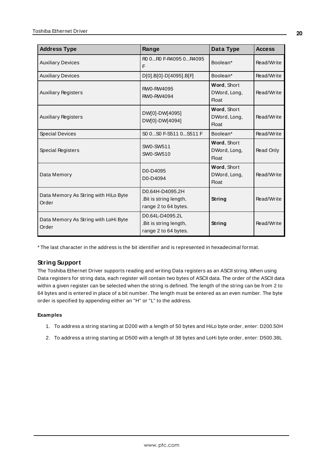| <b>Address Type</b>                           | Range                                                             | Data Type                                   | <b>Access</b> |
|-----------------------------------------------|-------------------------------------------------------------------|---------------------------------------------|---------------|
| <b>Auxiliary Devices</b>                      | R0 0R0 F-R4095 0R4095<br>F                                        | Boolean*                                    | Read/Write    |
| <b>Auxiliary Devices</b>                      | D[0].B[0]-D[4095].B[F]                                            | Boolean*                                    | Read/Write    |
| <b>Auxiliary Registers</b>                    | RW0-RW4095<br>RW0-RW4094                                          | Word, Short<br>DWord, Long,<br><b>Float</b> | Read/Write    |
| <b>Auxiliary Registers</b>                    | DW[0]-DW[4095]<br>DW[0]-DW[4094]                                  | Word, Short<br>DWord, Long,<br><b>Float</b> | Read/Write    |
| <b>Special Devices</b>                        | S0 0S0 F-S511 0S511 F                                             | Boolean*                                    | Read/Write    |
| Special Registers                             | SW0-SW511<br>SW0-SW510                                            | Word, Short<br>DWord, Long,<br><b>Float</b> | Read Only     |
| Data Memory                                   | D0-D4095<br>D0-D4094                                              | Word, Short<br>DWord, Long,<br><b>Float</b> | Read/Write    |
| Data Memory As String with HiLo Byte<br>Order | D0.64H-D4095.2H<br>.Bit is string length,<br>range 2 to 64 bytes. | String                                      | Read/Write    |
| Data Memory As String with LoHi Byte<br>Order | D0.64L-D4095.2L<br>.Bit is string length,<br>range 2 to 64 bytes. | String                                      | Read/Write    |

\* The last character in the address is the bit identifier and is represented in hexadecimal format.

## **String Support**

The Toshiba Ethernet Driver supports reading and writing Data registers as an ASCII string. When using Data registers for string data, each register will contain two bytes of ASCII data. The order of the ASCII data within a given register can be selected when the string is defined. The length of the string can be from 2 to 64 bytes and is entered in place of a bit number. The length must be entered as an even number. The byte order is specified by appending either an "H" or "L" to the address.

#### **Examples**

- 1. To address a string starting at D200 with a length of 50 bytes and HiLo byte order, enter: D200.50H
- 2. To address a string starting at D500 with a length of 38 bytes and LoHi byte order, enter: D500.38L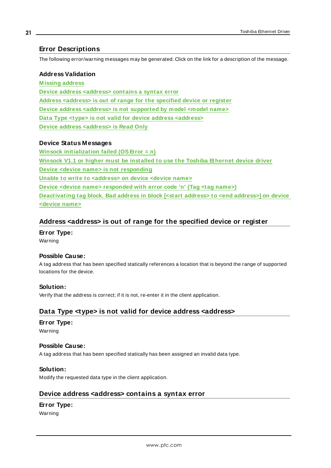# <span id="page-20-0"></span>**Error Descriptions**

The following error/warning messages may be generated. Click on the link for a description of the message.

#### **Address Validation**

**[M issing](#page-21-2) address Device address [<address>](#page-20-3) contains a syntax error Address [<address>](#page-20-1) is out of range for the specified device or register Device address <address> is not [supported](#page-21-0) by model <model name> Data Type <type> is not valid for device address [<address>](#page-20-2) Device address [<address>](#page-21-1) is Read Only**

## **Device Status Messages**

**Winsock [initialization](#page-23-0) failed (OSError = n) Winsock V1.1 or higher must be [installed](#page-23-1) to use the Toshiba Ethernet device driver Device <device name> is not [responding](#page-22-0) Unable to write to [<address>](#page-22-2) on device <device name> Device <device name> [responded](#page-22-1) with error code 'n' (Tag <tag name>) [Deactivating](#page-21-3) tag block. Bad address in block [<start address> to <end address>] on device [<device](#page-21-3) name>**

# <span id="page-20-1"></span>**Address <address> is out of range for the specified device or register**

**Error Type:** Warning

#### **Possible Cause:**

A tag address that has been specified statically references a location that is beyond the range of supported locations for the device.

#### **Solution:**

<span id="page-20-2"></span>Verify that the address is correct; if it is not, re-enter it in the client application.

# **Data Type <type> is not valid for device address <address>**

#### **Error Type:**

Warning

#### **Possible Cause:**

A tag address that has been specified statically has been assigned an invalid data type.

#### **Solution:**

<span id="page-20-3"></span>Modify the requested data type in the client application.

## **Device address <address> contains a syntax error**

## **Error Type:**

Warning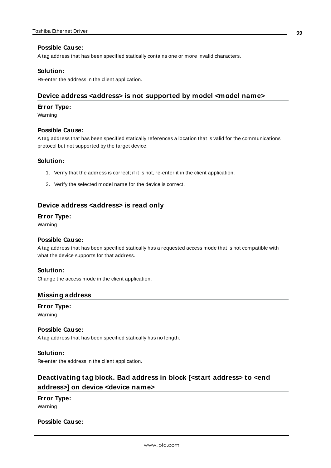#### **Possible Cause:**

A tag address that has been specified statically contains one or more invalid characters.

#### **Solution:**

<span id="page-21-0"></span>Re-enter the address in the client application.

#### **Device address <address> is not supported by model <model name>**

#### **Error Type:**

Warning

#### **Possible Cause:**

A tag address that has been specified statically references a location that is valid for the communications protocol but not supported by the target device.

#### **Solution:**

- 1. Verify that the address is correct; if it is not, re-enter it in the client application.
- 2. Verify the selected model name for the device is correct.

### <span id="page-21-1"></span>**Device address <address> is read only**

#### **Error Type:**

Warning

#### **Possible Cause:**

A tag address that has been specified statically has a requested access mode that is not compatible with what the device supports for that address.

#### **Solution:**

<span id="page-21-2"></span>Change the access mode in the client application.

#### **Missing address**

**Error Type:** Warning

# **Possible Cause:**

A tag address that has been specified statically has no length.

## **Solution:**

<span id="page-21-3"></span>Re-enter the address in the client application.

# **Deactivating tag block. Bad address in block [<start address> to <end address>] on device <device name>**

## **Error Type:** Warning

#### **Possible Cause:**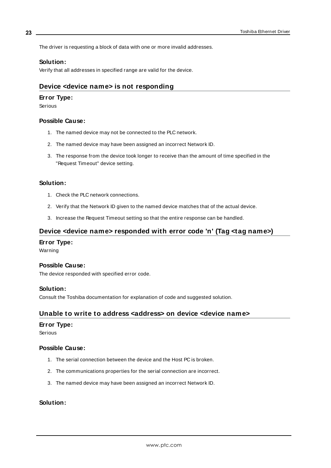The driver is requesting a block of data with one or more invalid addresses.

#### **Solution:**

<span id="page-22-0"></span>Verify that all addresses in specified range are valid for the device.

# **Device <device name> is not responding**

#### **Error Type:**

Serious

#### **Possible Cause:**

- 1. The named device may not be connected to the PLC network.
- 2. The named device may have been assigned an incorrect Network ID.
- 3. The response from the device took longer to receive than the amount of time specified in the "Request Timeout" device setting.

#### **Solution:**

- 1. Check the PLC network connections.
- 2. Verify that the Network ID given to the named device matches that of the actual device.
- <span id="page-22-1"></span>3. Increase the Request Timeout setting so that the entire response can be handled.

## **Device <device name> responded with error code 'n' (Tag <tag name>)**

#### **Error Type:**

Warning

#### **Possible Cause:**

The device responded with specified error code.

#### **Solution:**

<span id="page-22-2"></span>Consult the Toshiba documentation for explanation of code and suggested solution.

## **Unable to write to address <address> on device <device name>**

#### **Error Type:**

Serious

#### **Possible Cause:**

- 1. The serial connection between the device and the Host PC is broken.
- 2. The communications properties for the serial connection are incorrect.
- 3. The named device may have been assigned an incorrect Network ID.

## **Solution:**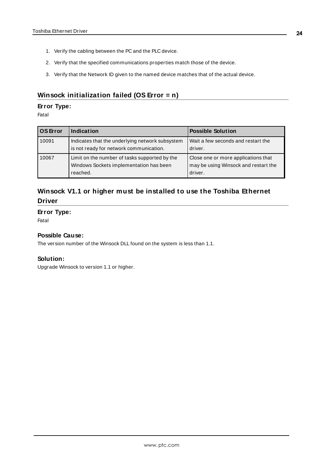- 1. Verify the cabling between the PC and the PLC device.
- 2. Verify that the specified communications properties match those of the device.
- 3. Verify that the Network ID given to the named device matches that of the actual device.

# <span id="page-23-0"></span>**Winsock initialization failed (OS Error = n)**

## **Error Type:**

Fatal

| OS Error | Indication                                                                                           | <b>Possible Solution</b>                                                               |
|----------|------------------------------------------------------------------------------------------------------|----------------------------------------------------------------------------------------|
| 10091    | Indicates that the underlying network subsystem<br>is not ready for network communication.           | Wait a few seconds and restart the<br>driver.                                          |
| 10067    | Limit on the number of tasks supported by the<br>Windows Sockets implementation has been<br>reached. | Close one or more applications that<br>may be using Winsock and restart the<br>driver. |

# <span id="page-23-1"></span>**Winsock V1.1 or higher must be installed to use the Toshiba Ethernet Driver**

### **Error Type:**

Fatal

## **Possible Cause:**

The version number of the Winsock DLL found on the system is less than 1.1.

## **Solution:**

Upgrade Winsock to version 1.1 or higher.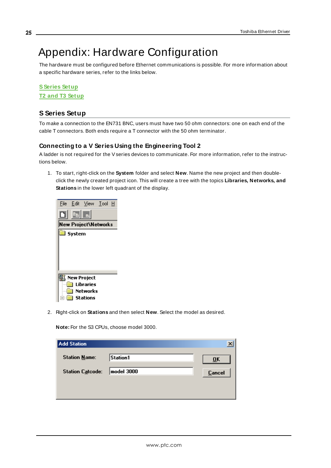# <span id="page-24-0"></span>Appendix: Hardware Configuration

The hardware must be configured before Ethernet communications is possible. For more information about a specific hardware series, refer to the links below.

# **[SSeries](#page-24-1) Setup T2 and T3 [Setup](#page-29-0)**

# <span id="page-24-1"></span>**S Series Setup**

To make a connection to the EN731 BNC, users must have two 50 ohm connectors: one on each end of the cable T connectors. Both ends require a T connector with the 50 ohm terminator.

# **Connecting to a V Series Using the Engineering Tool 2**

A ladder is not required for the Vseries devices to communicate. For more information, refer to the instructions below.

1. To start, right-click on the **System** folder and select **New**. Name the new project and then doubleclick the newly created project icon. This will create a tree with the topics **Libraries, Networks, and Stations** in the lower left quadrant of the display.



2. Right-click on **Stations** and then select **New**. Select the model as desired.

**Note:** For the S3 CPUs, choose model 3000.

| <b>Add Station</b>      |            |               |
|-------------------------|------------|---------------|
| <b>Station Name:</b>    | Station1   | ŪK            |
| <b>Station Catcode:</b> | model 3000 | <b>Cancel</b> |
|                         |            |               |
|                         |            |               |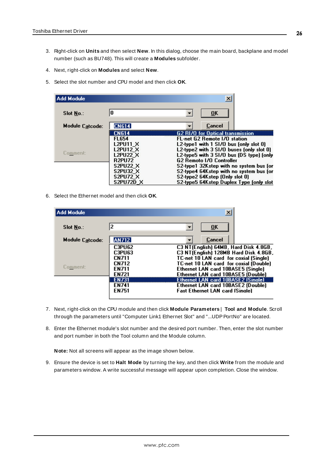- 3. Right-click on **Units** and then select **New**. In this dialog, choose the main board, backplane and model number (such as BU748). This will create a **Modules** subfolder.
- 4. Next, right-click on **Modules** and select **New**.
- 5. Select the slot number and CPU model and then click **OK**.

| Add Module      |                  | $\vert x \vert$                          |
|-----------------|------------------|------------------------------------------|
| Slot No.:       | 0                | $\overline{\mathbf{0}}$ K                |
| Module Catcode: | <b>CN614</b>     | Cancel                                   |
|                 | <b>CN614</b>     | <b>G2 RI/O for Optical transmission</b>  |
|                 | <b>FL654</b>     | FL-net G2 Remote 1/0 station             |
|                 | L2PU11 X         | L2-type1 with $1$ SI/O bus (only slot 0) |
|                 | <b>L2PU12 X</b>  | L2-type2 with 3 SI/O buses (only slot 0) |
| Comment:        | <b>L2PU22 X</b>  | L2-type5 with 3 SI/O bus (DS type) (only |
|                 | <b>R2PU72</b>    | <b>G2 Remoto 1/0 Controller</b>          |
|                 | <b>S2PU22 X</b>  | S2-type1 32Kstep with no system bus for  |
|                 | <b>S2PU32 X</b>  | S2-type4 64Kstep with no system bus (or  |
|                 | <b>S2PU72 X</b>  | S2-type2 64Kstep (Only slot 0)           |
|                 | <b>S2PU72D X</b> | S2-type5 64Kstep Duplex Type (only slot  |

6. Select the Ethernet model and then click **OK**.

| Add Module       |               | ×                                         |
|------------------|---------------|-------------------------------------------|
| <b>Slot No.:</b> | 2             | 0 <sub>K</sub>                            |
| Module Catcode:  | <b>AN712</b>  | Cancel                                    |
|                  | <b>C3PU62</b> | C3 NT(English) 64MB, Hard Disk 4.8GB,     |
|                  | <b>C3PU63</b> | C3 NT(English) 128MB Hard Disk 4.8GB,     |
|                  | <b>CN711</b>  | TC-net 10 LAN card for coxial (Single).   |
|                  | <b>CN712</b>  | TC-net 10 LAN card for coxial (Double)    |
| Comment:         | <b>EN711</b>  | Ethernet LAN card 10BASE5 (Single)        |
|                  | <b>EN721</b>  | Ethernet LAN card 10BASE5 (Double)        |
|                  | <b>EN731</b>  | <b>Ethernet LAN card 10BASE2 (Single)</b> |
|                  | <b>EN741</b>  | Ethernet LAN card 10BASE2 (Double)        |
|                  | <b>EN751</b>  | <b>Fast Ethernet LAN card (Single)</b>    |
|                  |               |                                           |

- 7. Next, right-click on the CPU module and then click **Module Parameters** | **Tool and Module**. Scroll through the parameters until "Computer Link1 Ethernet Slot" and "...UDP PortNo" are located.
- 8. Enter the Ethernet module's slot number and the desired port number. Then, enter the slot number and port number in both the Tool column and the Module column.

**Note:** Not all screens will appear as the image shown below.

9. Ensure the device is set to **Halt Mode** by turning the key, and then click **Write** from the module and parameters window. A write successful message will appear upon completion. Close the window.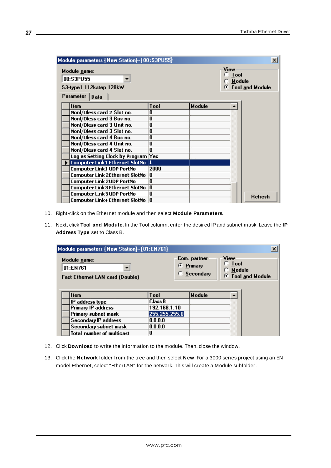| Module parameters {New Station}-{00:S3PU55}                                                                     |      |               | $\mathbf{x}$    |
|-----------------------------------------------------------------------------------------------------------------|------|---------------|-----------------|
| View<br>Module name:<br><b>Tool</b><br>00:S3PU55<br>Module<br>c<br>S3-type1 112kstep 128kW<br>Parameter<br>Data |      |               | Tool and Module |
| <b>Item</b>                                                                                                     | Tool | <b>Module</b> |                 |
| Nonl/Oless card 2 Slot no.                                                                                      | 0    |               |                 |
| Nonl/Oless card 3 Bus no.                                                                                       | 0    |               |                 |
| Nonl/Oless card 3 Unit no.                                                                                      | 0    |               |                 |
| Nonl/Oless card 3 Slot no.                                                                                      | 0    |               |                 |
| Nonl/Oless card 4 Bus no.                                                                                       | 0    |               |                 |
| Nonl/Oless card 4 Unit no.                                                                                      | n    |               |                 |
| Nonl/Oless card 4 Slot no.                                                                                      | n    |               |                 |
| Log as Setting Clock by Program Yes                                                                             |      |               |                 |
| Computer Link1 Ethernet SlotNo  1                                                                               |      |               |                 |
| Computer Link1 UDP PortNo                                                                                       | 2000 |               |                 |
| Computer Link 2Ethernet SlotNo                                                                                  | o    |               |                 |
| <b>Computer Link 2UDP PortNo</b>                                                                                | 0    |               |                 |
| Computer Link3Ethernet SlotNo                                                                                   | o    |               |                 |
| Computer L.nk3 UDP PortNo                                                                                       | 0    |               | <b>Refresh</b>  |
| Computer Link4 Ethernet SlotNo                                                                                  | 0    |               |                 |

- 10. Right-click on the Ethernet module and then select **Module Parameters.**
- 11. Next, click **Tool and Module.** In the Tool column, enter the desired IPand subnet mask. Leave the **IP Address Type** set to Class B.

| $\pmb{\times}$<br>Module parameters {New Station}-{01:EN761}       |                |                                        |                                    |                        |
|--------------------------------------------------------------------|----------------|----------------------------------------|------------------------------------|------------------------|
| Module name:<br>01:EN761<br><b>Fast Ethernet LAN card (Double)</b> |                | Com. partner<br>⊙ Primary<br>Secondary | View<br><b>Tool</b><br>Module<br>G | <b>Tool and Module</b> |
| <b>Item</b>                                                        | <b>Tool</b>    | <b>Module</b>                          |                                    |                        |
| IP address type                                                    | <b>Class B</b> |                                        |                                    |                        |
| <b>Primary IP address</b>                                          | 192.168.1.10   |                                        |                                    |                        |
| Primary subnet mask                                                | 255.255.255.0  |                                        |                                    |                        |
| <b>Secondary IP address</b>                                        | 0.0.0.0        |                                        |                                    |                        |
| Secondary subnet mask                                              | 0.0.0.0        |                                        |                                    |                        |
| <b>Total number of multicast</b>                                   | 0              |                                        |                                    |                        |

- 12. Click **Download** to write the information to the module. Then, close the window.
- 13. Click the **Network** folder from the tree and then select **New**. For a 3000 series project using an EN model Ethernet, select "EtherLAN" for the network. This will create a Module subfolder.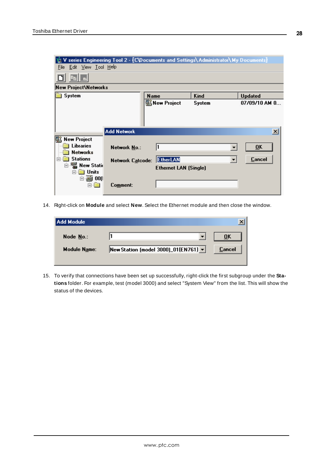| V series Engineering Tool 2 - {C\Documents and Settings\ Administrator\ My Documents}<br><b>Updated</b> |
|---------------------------------------------------------------------------------------------------------|
|                                                                                                         |
|                                                                                                         |
|                                                                                                         |
|                                                                                                         |
| 07/09/10 AM 0                                                                                           |
|                                                                                                         |
| $\vert x \vert$                                                                                         |
| $\overline{\mathbf{0}}$ K                                                                               |
| Cancel                                                                                                  |
|                                                                                                         |
|                                                                                                         |
|                                                                                                         |

14. Right-click on **Module** and select **New**. Select the Ethernet module and then close the window.

| Add Module          |                                      |        |
|---------------------|--------------------------------------|--------|
| Node No.:           |                                      | ŪK     |
| <b>Module Name:</b> | New Station (model 3000)_01(EN761) v | Cancel |
|                     |                                      |        |

15. To verify that connections have been set up successfully, right-click the first subgroup under the **Stations** folder. For example, test (model 3000) and select "System View" from the list. This will show the status of the devices.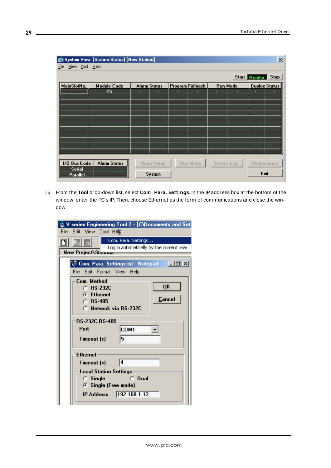|                                       | $\mathbf{x}$<br>System View (Station Status) [New Station] |                     |                         |                 |                              |
|---------------------------------------|------------------------------------------------------------|---------------------|-------------------------|-----------------|------------------------------|
| File View Tool Help                   |                                                            |                     |                         |                 |                              |
|                                       |                                                            |                     |                         |                 | <b>Stop</b><br>Start Monitor |
| MainSlotNo.                           | <b>Module Code</b>                                         | <b>Alarm Status</b> | <b>Program Fallback</b> | <b>Run Mode</b> | <b>Duplex Status</b>         |
| ,,,,,,,,,,,,,,,,,,,,,,,,,,,,,,,,,,,,, | <b>PS</b>                                                  | ٠<br>٠              | ÷                       | ٠<br>٠          |                              |
|                                       |                                                            |                     |                         |                 |                              |
|                                       |                                                            |                     |                         |                 |                              |
|                                       |                                                            |                     |                         |                 |                              |
|                                       |                                                            |                     |                         |                 |                              |
|                                       |                                                            |                     |                         |                 |                              |
|                                       |                                                            |                     |                         |                 |                              |
|                                       |                                                            |                     |                         |                 |                              |
|                                       |                                                            |                     |                         |                 |                              |
|                                       |                                                            |                     |                         |                 |                              |
|                                       |                                                            |                     |                         |                 |                              |
| 1/0 Bus Code                          | <b>Alarm Status</b>                                        | <b>Open Detail</b>  | Run Mode                | System Log      | <b>Maintenance</b>           |
| <b>Serial</b>                         |                                                            |                     |                         |                 |                              |
| Parallel                              |                                                            | System              |                         |                 | Exit                         |

16. From the **Tool** drop-down list, select **Com. Para. Settings**. In the IPaddress box at the bottom of the window, enter the PC's IP. Then, choose Ethernet as the form of communications and close the window.

|      | series Engineering Tool 2 - [C\Documents and Set.                      |
|------|------------------------------------------------------------------------|
| File | <u>Edit View Tool H</u> elp                                            |
|      | Com. Para. Settings                                                    |
|      | Log in automatically by the current user<br><b>New Project\Stanons</b> |
|      |                                                                        |
|      | $\Box$ olxi<br><b>W. Com. Para. Settings.txt - Notepad</b>             |
|      | <u>File Edit Format V</u> iew <u>H</u> elp                             |
|      | Com. Method                                                            |
|      | OK<br>$\cap$ RS-232C<br><b>G</b> Ethernet                              |
|      | Cancel<br>$\cap$ RS-485                                                |
|      | C. Network via BS-232C                                                 |
|      |                                                                        |
|      | <b>RS-232C.RS-485</b>                                                  |
|      | COM1<br>Port                                                           |
|      | 5<br>Timeout [s]                                                       |
|      |                                                                        |
|      | <b>Ethernet</b>                                                        |
|      | 14<br>Timeout [s]                                                      |
|      | <b>Local Station Settings</b>                                          |
|      | $\bigcirc$ Dual<br>$\circ$ Single                                      |
|      | <b>C</b> Single (Free mode)                                            |
|      | 192.168.1.12<br><b>IP Address</b>                                      |
|      |                                                                        |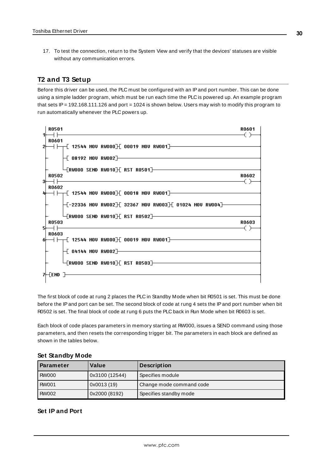17. To test the connection, return to the System View and verify that the devices' statuses are visible without any communication errors.

# <span id="page-29-0"></span>**T2 and T3 Setup**

Before this driver can be used, the PLC must be configured with an IPand port number. This can be done using a simple ladder program, which must be run each time the PLC is powered up. An example program that sets IP = 192.168.111.126 and port = 1024 is shown below. Users may wish to modify this program to run automatically whenever the PLC powers up.



The first block of code at rung 2 places the PLC in Standby Mode when bit R0501 is set. This must be done before the IPand port can be set. The second block of code at rung 4 sets the IPand port number when bit R0502 is set. The final block of code at rung 6 puts the PLC back in Run Mode when bit R0603 is set.

Each block of code places parameters in memory starting at RW000, issues a SEND command using those parameters, and then resets the corresponding trigger bit. The parameters in each block are defined as shown in the tables below.

| <b>Parameter</b> | Value               | <b>Description</b>       |
|------------------|---------------------|--------------------------|
| <b>RW000</b>     | 0x3100 (12544)      | Specifies module         |
| <b>RW001</b>     | $\sqrt{0x0013(19)}$ | Change mode command code |
| <b>RW002</b>     | 0x2000 (8192)       | Specifies standby mode   |

## **Set Standby Mode**

# **Set IP and Port**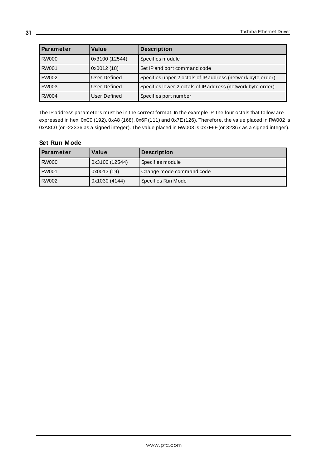| Parameter    | Value               | <b>Description</b>                                          |
|--------------|---------------------|-------------------------------------------------------------|
| <b>RW000</b> | 0x3100 (12544)      | Specifies module                                            |
| <b>RW001</b> | 0x0012(18)          | Set IP and port command code                                |
| <b>RW002</b> | <b>User Defined</b> | Specifies upper 2 octals of IP address (network byte order) |
| <b>RW003</b> | User Defined        | Specifies lower 2 octals of IP address (network byte order) |
| <b>RW004</b> | User Defined        | Specifies port number                                       |

The IPaddress parameters must be in the correct format. In the example IP, the four octals that follow are expressed in hex: 0xC0 (192), 0xA8 (168), 0x6F(111) and 0x7E(126). Therefore, the value placed in RW002 is 0xA8C0 (or -22336 as a signed integer). The value placed in RW003 is 0x7E6F(or 32367 as a signed integer).

#### **Set Run Mode**

| <b>Parameter</b> | Value          | <b>Description</b>       |
|------------------|----------------|--------------------------|
| <b>RW000</b>     | 0x3100 (12544) | Specifies module         |
| <b>RW001</b>     | 0x0013 (19)    | Change mode command code |
| <b>RW002</b>     | 0x1030 (4144)  | Specifies Run Mode       |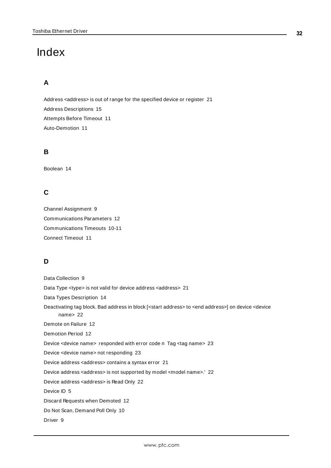# <span id="page-31-0"></span>Index

# **A**

Address <address> is out of range for the specified device or register [21](#page-20-1) Address Descriptions [15](#page-14-0) Attempts Before Timeout [11](#page-10-1) Auto-Demotion [11](#page-10-0)

# **B**

Boolean [14](#page-13-1)

# **C**

Channel Assignment [9](#page-8-1) Communications Parameters [12](#page-11-0) Communications Timeouts [10-11](#page-9-2) Connect Timeout [11](#page-10-2)

# **D**

Data Collection [9](#page-8-2) Data Type <type> is not valid for device address <address> [21](#page-20-2) Data Types Description [14](#page-13-0) Deactivating tag block. Bad address in block [<start address> to <end address>] on device <device name> [22](#page-21-3) Demote on Failure [12](#page-11-2) Demotion Period [12](#page-11-3) Device <device name> responded with error code n Tag <tag name> [23](#page-22-1) Device <device name> not responding [23](#page-22-0) Device address <address> contains a syntax error [21](#page-20-3) Device address <address> is not supported by model <model name>.' [22](#page-21-0) Device address <address> is Read Only [22](#page-21-1) Device ID [5](#page-4-2) Discard Requests when Demoted [12](#page-11-4) Do Not Scan, Demand Poll Only [10](#page-9-3) Driver [9](#page-8-3)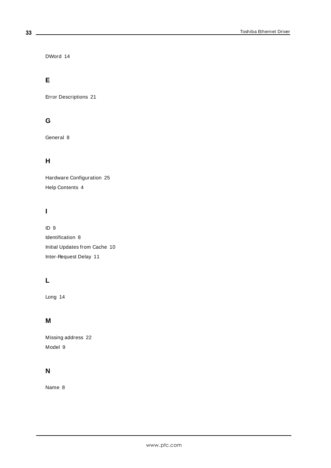DWord [14](#page-13-2)

# **E**

Error Descriptions [21](#page-20-0)

# **G**

General [8](#page-7-0)

# **H**

Hardware Configuration [25](#page-24-0) Help Contents [4](#page-3-0)

# **I**

ID [9](#page-8-4) Identification [8](#page-7-0) Initial Updates from Cache [10](#page-9-4) Inter-Request Delay [11](#page-10-3)

# **L**

Long [14](#page-13-3)

# **M**

Missing address [22](#page-21-2) Model [9](#page-8-5)

# **N**

Name [8](#page-7-1)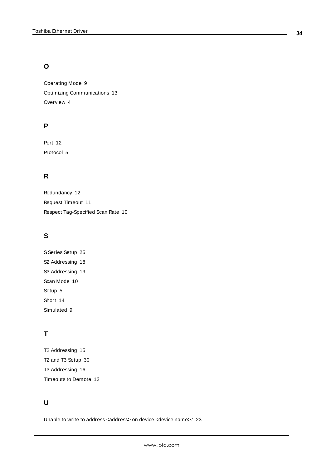# **O**

Operating Mode [9](#page-8-0) Optimizing Communications [13](#page-12-0) Overview [4](#page-3-1)

# **P**

Port [12](#page-11-5) Protocol [5](#page-4-3)

# **R**

Redundancy [12](#page-11-1) Request Timeout [11](#page-10-4) Respect Tag-Specified Scan Rate [10](#page-9-5)

# **S**

S Series Setup [25](#page-24-1) S2 Addressing [18](#page-17-0) S3 Addressing [19](#page-18-0) Scan Mode [10](#page-9-6) Setup [5](#page-4-0) Short [14](#page-13-4) Simulated [9](#page-8-6)

# **T**

T2 Addressing [15](#page-14-1) T2 and T3 Setup [30](#page-29-0) T3 Addressing [16](#page-15-0) Timeouts to Demote [12](#page-11-6)

# **U**

Unable to write to address <address> on device <device name>.' [23](#page-22-2)